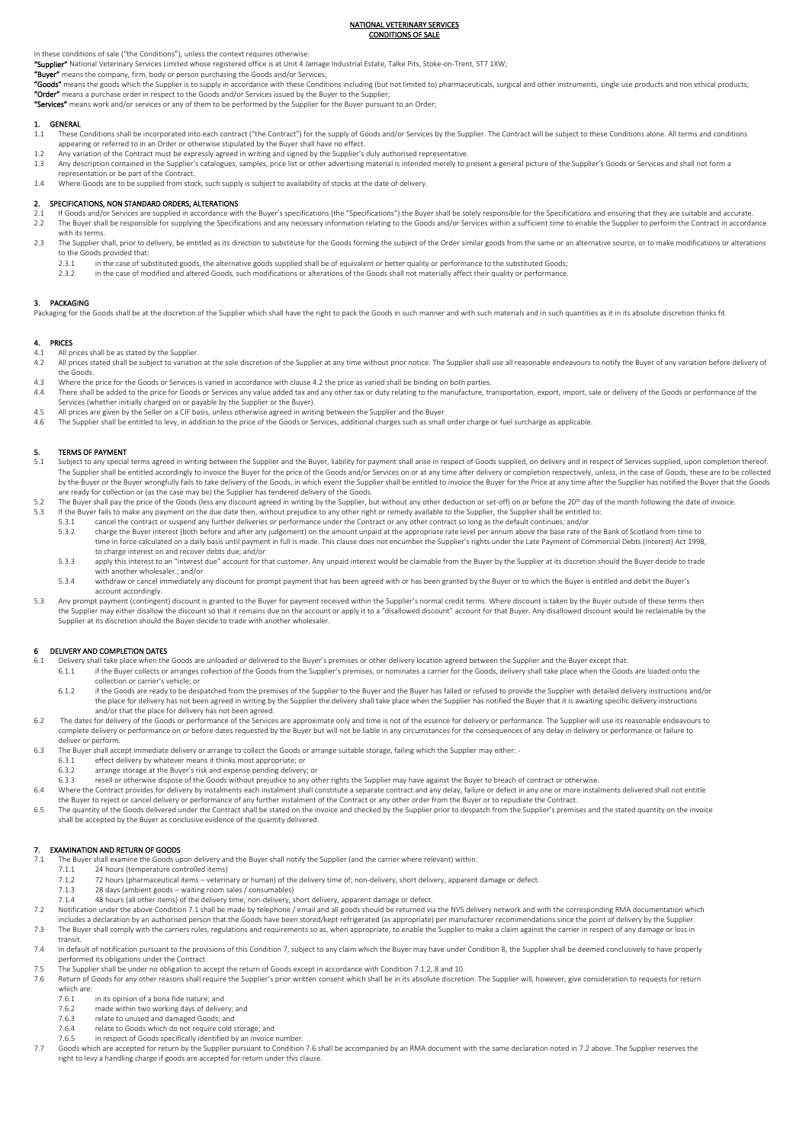#### NATIONAL VETERINARY SERVICES CONDITIONS OF SALE

### In these conditions of sale ("the Conditions"), unless the context requires otherwise:

"Supplier" National Veterinary Services Limited whose registered office is at Unit 4 Jamage Industrial Estate, Talke Pits, Stoke-on-Trent, ST7 1XW;

"Buyer" means the company, firm, body or person purchasing the Goods and/or Services

"Goods" means the goods which the Supplier is to supply in accordance with these Conditions including (but not limited to) pharmaceuticals, surgical and other instruments, single use products and non ethical products; "Order" means a purchase order in respect to the Goods and/or Services issued by the Buyer to the Supplier

"Services" means work and/or services or any of them to be performed by the Supplier for the Buyer pursuant to an Order;

## 1. **GENERAL**<br>11 These (

- ....<br>These Conditions shall be incorporated into each contract ("the Contract") for the supply of Goods and/or Services by the Supplier. The Contract will be subject to these Conditions alone. All terms and conditions appearing or referred to in an Order or otherwise stipulated by the Buyer shall have no effect.
- 1.2 Any variation of the Contract must be expressly agreed in writing and signed by the Supplier's duly authorised representative.
- 1.3 Any description contained in the Supplier's catalogues, samples, price list or other advertising material is intended merely to present a general picture of the Supplier's Goods or Services and shall not form a
- representation or be part of the Contract.
- 1.4 Where Goods are to be supplied from stock, such supply is subject to availability of stocks at the date of delivery.

### 2. SPECIFICATIONS, NON STANDARD ORDERS, ALTERATIONS

- 2.1 If Goods and/or Services are supplied in accordance with the Buyer's specifications (the "Specifications") the Buyer shall be solely responsible for the Specifications and ensuring that they are suitable and accurate.<br> The Buyer shall be responsible for supplying the Specifications and any necessary information relating to the Goods and/or Services within a sufficient time to enable the Supplier to perform the Contract in accordance with its terms.
- 2.3 The Supplier shall, prior to delivery, be entitled as its direction to substitute for the Goods forming the subject of the Order similar goods from the same or an alternative source, or to make modifications or alterat
	- to the Goods provided that:<br>2.3.1 in the case of su 2.3.1 in the case of substituted goods, the alternative goods supplied shall be of equivalent or better quality or performance to the substituted Goods;<br>2.3.2.1 in the case of modified and altered Goods, such modifications
	- 2.3.2 in the case of modified and altered Goods, such modifications or alterations of the Goods shall not materially affect their quality or performance.

### 3. PACKAGING

Packaging for the Goods shall be at the discretion of the Supplier which shall have the right to pack the Goods in such manner and with such materials and in such quantities as it in its absolute discretion thinks fit.

## 4. **PRICES**<br>4.1 All p

- 4.1 All prices shall be as stated by the Supplier.<br>4.2 All prices stated shall be subject to variation
- All prices stated shall be subject to variation at the sole discretion of the Supplier at any time without prior notice. The Supplier shall use all reasonable endeavours to notify the Buyer of any variation before delivery the Goods.
- 4.3 Where the price for the Goods or Services is varied in accordance with clause 4.2 the price as varied shall be binding on both parties.<br>4.4 There shall be added to the price for Goods or Services any value added tax
- Services (whether initially charged on or payable by the Supplier or the Buyer).
- 4.5 All prices are given by the Seller on a CIF basis, unless otherwise agreed in writing between the Supplier and the Buyer.<br>4.6 The Supplier shall be entitled to levy, in addition to the price of the Goods or Services, a
- 4.6 The Supplier shall be entitled to levy, in addition to the price of the Goods or Services, additional charges such as small order charge or fuel surcharge as applicable.

#### 5. TERMS OF PAYMENT

- 5.1 Subject to any special terms agreed in writing between the Supplier and the Buyer, liability for payment shall arise in respect of Goods supplied, on delivery and in respect of Services supplied, upon completion thereof. The Supplier shall be entitled accordingly to invoice the Buyer for the price of the Goods and/or Services on or at any time after delivery or completion respectively, unless, in the case of Goods, these are to be collected by the Buyer or the Buyer wrongfully fails to take delivery of the Goods, in which event the Supplier shall be entitled to invoice the Buyer for the Price at any time after the Supplier has notified the Buyer that the Goods are ready for collection or (as the case may be) the Supplier has tendered delivery of the Goods.
- 5.2 The Buyer shall pay the price of the Goods (less any discount agreed in writing by the Supplier, but without any other deduction or set-off) on or before the 20th day of the month following the date of invoice.<br>5.3 I
	- 5.3.1 cancel the contract or suspend any further deliveries or performance under the Contract or any other contract so long as the default continues; and/or<br>5.3.2 charge the Buver interest (both before and after any judgem 5.3.2 charge the Buyer interest (both before and after any judgement) on the amount unpaid at the appropriate rate level per annum above the base rate of the Bank of Scotland from time to time in force calculated on a daily basis until payment in full is made. This clause does not encumber the Supplier's rights under the Late Payment of Commercial Debts (Interest) Act 1998,
	- to charge interest on and recover debts due; and/or apply this interest to an "interest due" account for that customer. Any unpaid interest would be claimable from the Buyer by the Supplier at its discretion should the Buyer decide to trade
	- with another wholesaler.; and/or 5.3.4 withdraw or cancel immediately any discount for prompt payment that has been agreed with or has been granted by the Buyer or to which the Buyer is entitled and debit the Buyer's
	- account accordingly.
- 5.3 Any prompt payment (contingent) discount is granted to the Buyer for payment received within the Supplier's normal credit terms. Where discount is taken by the Buyer outside of these terms then the Supplier may either disallow the discount so that it remains due on the account or apply it to a "disallowed discount" account for that Buyer. Any disallowed discount would be reclaimable by the Supplier at its discretion should the Buyer decide to trade with another wholesaler.

## 6 DELIVERY AND COMPLETION DATES

- 6.1 Delivery shall take place when the Goods are unloaded or delivered to the Buyer's premises or other delivery location agreed between the Supplier and the Buyer except that:
	- 6.1.1 if the Buyer collects or arranges collection of the Goods from the Supplier's premises, or nominates a carrier for the Goods, delivery shall take place when the Goods are loaded onto the collection or carrier's vehicle; or
	- 6.1.2 if the Goods are ready to be despatched from the premises of the Supplier to the Buyer and the Buyer has failed or refused to provide the Supplier with detailed delivery instructions and/or the place for delivery has not been agreed in writing by the Supplier the delivery shall take place when the Supplier has notified the Buyer that it is awaiting specific delivery instructions and/or that the place for delivery has not been agreed.
- 6.2 The dates for delivery of the Goods or performance of the Services are approximate only and time is not of the essence for delivery or performance. The Supplier will use its reasonable endeavours to complete delivery or performance on or before dates requested by the Buyer but will not be liable in any circumstances for the consequences of any delay in delivery or performance or failure to deliver or perform.
- 6.3 The Buyer shall accept immediate delivery or arrange to collect the Goods or arrange suitable storage, failing which the Supplier may either:
	-
	- 6.3.1 effect delivery by whatever means it thinks most appropriate; or 6.3.2 arrange storage at the Buyer's risk and expense pending delivery; or
	- 6.3.3 resell or otherwise dispose of the Goods without prejudice to any other rights the Supplier may have against the Buyer to breach of contract or otherwise.
- 6.4 Where the Contract provides for delivery by instalments each instalment shall constitute a separate contract and any delay, failure or defect in any one or more instalments delivered shall not entitle the Buyer to reject or cancel delivery or performance of any further instalment of the Contract or any other order from the Buyer or to repudiate the Contract.
- 6.5 The quantity of the Goods delivered under the Contract shall be stated on the invoice and checked by the Supplier prior to despatch from the Supplier's premises and the stated quantity on the invoice<br>shall be accepted

## 7. **EXAMINATION AND RETURN OF GOODS**

- The Buyer shall examine the Goods upon delivery and the Buyer shall notify the Supplier (and the carrier where relevant) within:<br>7.1.1 24 hours (temperature controlled items)
- 7.1.1 24 hours (temperature controlled items)<br>7.1.2 72 hours (pharmaceutical items veterin
	- 72 hours (pharmaceutical items veterinary or human) of the delivery time of; non-delivery, short delivery, apparent damage or defect.
	- 7.1.3 28 days (ambient goods waiting room sales / consumables)
- 7.1.4 48 hours (all other items) of the delivery time; non-delivery, short delivery, apparent damage or defect.
- 7.2 Notification under the above Condition 7.1 shall be made by telephone / email and all goods should be returned via the NVS delivery network and with the corresponding RMA documentation which<br>includes a declaration by a 7.3 The Buyer shall comply with the carriers rules, regulations and requirements so as, when appropriate, to enable the Supplier to make a claim against the carrier in respect of any damage or loss in
- transit. 7.4 In default of notification pursuant to the provisions of this Condition 7, subject to any claim which the Buyer may have under Condition 8, the Supplier shall be deemed conclusively to have properly
- performed its obligations under the Contract.
- 7.5 The Supplier shall be under no obligation to accept the return of Goods except in accordance with Condition 7.1.2, 8 and 10.
- 7.6 Return of Goods for any other reasons shall require the Supplier's prior written consent which shall be in its absolute discretion. The Supplier will, however, give consideration to requests for return which are:<br>7.6.1
	- 7.6.1 in its opinion of a bona fide nature; and<br>7.6.2 made within two working days of delive
	- made within two working days of delivery; and
	- 7.6.3 relate to unused and damaged Goods; and
	- 7.6.4 relate to Goods which do not require cold storage; and<br>7.6.5 in respect of Goods specifically identified by an invoice
	- in respect of Goods specifically identified by an invoice number.
- 7.7 Goods which are accepted for return by the Supplier pursuant to Condition 7.6 shall be accompanied by an RMA document with the same declaration noted in 7.2 above. The Supplier reserves the right to levy a handling charge if goods are accepted for return under this clause.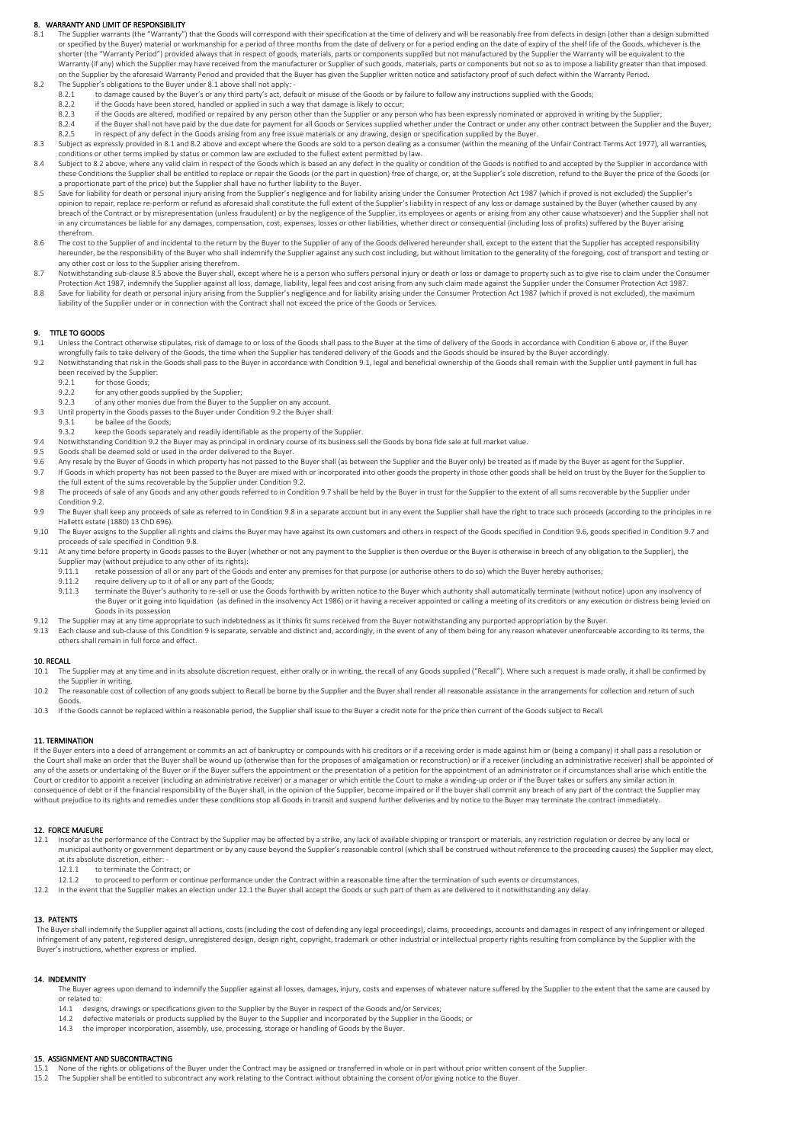#### 8. WARRANTY AND LIMIT OF RESPONSIBILITY

- 8.1 The Supplier warrants (the "Warranty") that the Goods will correspond with their specification at the time of delivery and will be reasonably free from defects in design (other than a design submitted or specified by the Buyer) material or workmanship for a period of three months from the date of delivery or for a period ending on the date of expiry of the shelf life of the Goods, whichever is the shorter (the "Warranty Period") provided always that in respect of goods, materials, parts or components supplied but not manufactured by the Supplier the Warranty will be equivalent to the Warranty (if any) which the Supplier may have received from the manufacturer or Supplier of such goods, materials, parts or components but not so as to impose a liability greater than that imposed on the Supplier by the aforesaid Warranty Period and provided that the Buyer has given the Supplier written notice and satisfactory proof of such defect within the Warranty Period.<br>8.2 The Supplier's obligations to the Buy
	- 8.2.1 to damage caused by the Buyer's or any third party's act, default or misuse of the Goods or by failure to follow any instructions supplied with the Goods
	-
	- 8.2.2 if the Goods have been stored, handled or applied in such a way that damage is likely to occur;<br>8.2.3 if the Goods are altered, modified or repaired by any person other than the Supplier or any pe 8.2.3 if the Goods are altered, modified or repaired by any person other than the Supplier or any person who has been expressly nominated or approved in writing by the Supplier;
	- 8.2.4 if the Buyer shall not have paid by the due date for payment for all Goods or Services supplied whether under the Contract or under any other contract between the Supplier and the Buyer,<br>8.2.5 in respect of any defec
- 8.3 Subject as expressly provided in 8.1 and 8.2 above and except where the Goods are sold to a person dealing as a consumer (within the meaning of the Unfair Contract Terms Act 1977), all warranties conditions or other terms implied by status or common law are excluded to the fullest extent permitted by law.
- 8.4 Subject to 8.2 above, where any valid claim in respect of the Goods which is based an any defect in the quality or condition of the Goods is notified to and accepted by the Supplier in accordance with these Conditions the Supplier shall be entitled to replace or repair the Goods (or the part in question) free of charge, or, at the Supplier's sole discretion, refund to the Buyer the price of the Goods (or a proportionate part of the price) but the Supplier shall have no further liability to the Buyer.
- 8.5 Save for liability for death or personal injury arising from the Supplier's negligence and for liability arising under the Consumer Protection Act 1987 (which if proved is not excluded) the Supplier's opinion to repair, replace re-perform or refund as aforesaid shall constitute the full extent of the Supplier's liability in respect of any loss or damage sustained by the Buyer (whether caused by any breach of the Contract or by misrepresentation (unless fraudulent) or by the negligence of the Supplier, its employees or agents or arising from any other cause whatsoever) and the Supplier shall not in any circumstances be liable for any damages, compensation, cost, expenses, losses or other liabilities, whether direct or consequential (including loss of profits) suffered by the Buyer arising therefrom.
- 8.6 The cost to the Supplier of and incidental to the return by the Buyer to the Supplier of any of the Goods delivered hereunder shall, except to the extent that the Supplier has accepted responsibility hereunder, be the responsibility of the Buyer who shall indemnify the Supplier against any such cost including, but without limitation to the generality of the foregoing, cost of transport and testing or<br>any other cost or
- 8.7 Notwithstanding sub-clause 8.5 above the Buyer shall, except where he is a person who suffers personal injury or death or loss or damage to property such as to give rise to claim under the Consumer Protection Act 1987, indemnify the Supplier against all loss, damage, liability, legal fees and cost arising from any such claim made against the Supplier under the Consumer Protection Act 1987.
- Save for liability for death or personal injury arising from the Supplier's negligence and for liability arising under the Consumer Protection Act 1987 (which if proved is not excluded), the maximum and the Supplier's negl liability of the Supplier under or in connection with the Contract shall not exceed the price of the Goods or Services.

# 9. TITLE TO GOODS<br>9.1 Unless the Cor

- 9.1 Unless the Contract otherwise stipulates, risk of damage to or loss of the Goods shall pass to the Buyer at the time of delivery of the Goods in accordance with Condition 6 above or, if the Buyer wrongfully fails to take delivery of the Goods, the time when the Supplier has tendered delivery of the Goods and the Goods should be insured by the Buyer accordingly.
- 9.2 Notwithstanding that risk in the Goods shall pass to the Buyer in accordance with Condition 9.1, legal and beneficial ownership of the Goods shall remain with the Supplier until payment in full has been received by the Supplier:
	- 9.2.1 for those Goods;<br>9.2.2 for any other good
	- 9.2.2 for any other goods supplied by the Supplier;<br>9.2.3 of any other monies due from the Buyer to the
	- of any other monies due from the Buyer to the Supplier on any account
- 9.3 Until property in the Goods passes to the Buyer under Condition 9.2 the Buyer shall: be bailee of the Goods;
- 9.3.2 keep the Goods separately and readily identifiable as the property of the Supplier.
- 9.4 Notwithstanding Condition 9.2 the Buyer may as principal in ordinary course of its business sell the Goods by bona fide sale at full market value.
- 9.5 Goods shall be deemed sold or used in the order delivered to the Buyer.
- 9.6 Any resale by the Buyer of Goods in which property has not passed to the Buyer shall (as between the Supplier and the Buyer only) be treated as if made by the Buyer as agent for the Supplier.<br>9.7 If Goods in which prop If Goods in which property has not been passed to the Buyer are mixed with or incorporated into other goods the property in those other goods shall be held on trust by the Buyer for the Supplier to
- the full extent of the sums recoverable by the Supplier under Condition 9.2. 9.8 The proceeds of sale of any Goods and any other goods referred to in Condition 9.7 shall be held by the Buyer in trust for the Supplier to the extent of all sums recoverable by the Supplier under Condition 9.2.
- 9.9 The Buyer shall keep any proceeds of sale as referred to in Condition 9.8 in a separate account but in any event the Supplier shall have the right to trace such proceeds (according to the principles in re Halletts estate (1880) 13 ChD 696).
- 9.10 The Buyer assigns to the Supplier all rights and claims the Buyer may have against its own customers and others in respect of the Goods specified in Condition 9.6, goods specified in Condition 9.7 and proceeds of sale specified in Condition 9.8.
- 9.11 At any time before property in Goods passes to the Buyer (whether or not any payment to the Supplier is then overdue or the Buyer is otherwise in breech of any obligation to the Supplier), the
	- Supplier may (without prejudice to any other of its rights):<br>9.11.1 retake possession of all or any part of the Good 9.11.1 retake possession of all or any part of the Goods and enter any premises for that purpose (or authorise others to do so) which the Buyer hereby authorises;
	- 9.11.2 require delivery up to it of all or any part of the Goods;
	- 9.11.3 terminate the Buyer's authority to re-sell or use the Goods forthwith by written notice to the Buyer which authority shall automatically terminate (without notice) upon any insolvency of the Buyer or it going into liquidation (as defined in the insolvency Act 1986) or it having a receiver appointed or calling a meeting of its creditors or any execution or distress being levied on Goods in its possession
- 9.12 The Supplier may at any time appropriate to such indebtedness as it thinks fit sums received from the Buyer notwithstanding any purported appropriation by the Buyer.
- 9.13 Each clause and sub-clause of this Condition 9 is separate, servable and distinct and, accordingly, in the event of any of them being for any reason whatever unenforceable according to its terms, the others shall remain in full force and effect.

#### 10. RECALL

- 10.1 The Supplier may at any time and in its absolute discretion request, either orally or in writing, the recall of any Goods supplied ("Recall"). Where such a request is made orally, it shall be confirmed by
- the Supplier in writing.<br>10.2 The reasonable cost of collection of any goods subject to Recall be borne by the Supplier and the Buyer shall render all reasonable assistance in the arrangements for collection and return of
- 10.3 If the Goods cannot be replaced within a reasonable period, the Supplier shall issue to the Buyer a credit note for the price then current of the Goods subject to Recall.

#### 11. TERMINATION

If the Buyer enters into a deed of arrangement or commits an act of bankruptcy or compounds with his creditors or if a receiving order is made against him or (being a company) it shall pass a resolution or the Court shall make an order that the Buyer shall be wound up (otherwise than for the proposes of amalgamation or reconstruction) or if a receiver (including an administrative receiver) shall be appointed of<br>any of the as Court or creditor to appoint a receiver (including an administrative receiver) or a manager or which entitle the Court to make a winding-up order or if the Buyer takes or suffers any similar action in consequence of debt or if the financial responsibility of the Buyer shall, in the opinion of the Supplier, become impaired or if the buyer shall commit any breach of any part of the contract the Supplier may without prejudice to its rights and remedies under these conditions stop all Goods in transit and suspend further deliveries and by notice to the Buyer may terminate the contract immediately.

### 12. FORCE MAJEURE

- 12.1 Insofar as the performance of the Contract by the Supplier may be affected by a strike, any lack of available shipping or transport or materials, any restriction regulation or decree by any local or municipal authority or government department or by any cause beyond the Supplier's reasonable control (which shall be construed without reference to the proceeding causes) the Supplier may elect,
	- at its absolute discretion, either: -<br>12.1.1 to terminate the Contr
	- 12.1.1 to terminate the Contract; or<br>12.1.2 to proceed to perform or con to proceed to perform or continue performance under the Contract within a reasonable time after the termination of such events or circumstances
- 12.2 In the event that the Supplier makes an election under 12.1 the Buyer shall accept the Goods or such part of them as are delivered to it notwithstanding any delay.

#### 13. PATENTS

 The Buyer shall indemnify the Supplier against all actions, costs (including the cost of defending any legal proceedings), claims, proceedings, accounts and damages in respect of any infringement or alleged infringement of any patent, registered design, unregistered design, design right, copyright, trademark or other industrial or intellectual property rights resulting from compliance by the Supplier with the<br>Buyer's instruct

### 14. INDEMNITY

The Buyer agrees upon demand to indemnify the Supplier against all losses, damages, injury, costs and expenses of whatever nature suffered by the Supplier to the extent that the same are caused by or related to:

- 14.1 designs, drawings or specifications given to the Supplier by the Buyer in respect of the Goods and/or Services;
- 14.2 defective materials or products supplied by the Buyer to the Supplier and incorporated by the Supplier in the Goods; or<br>14.3 the improper incorporation, assembly, use, processing, storage or handling of Goods by the B
- the improper incorporation, assembly, use, processing, storage or handling of Goods by the Buyer.

## 15. ASSIGNMENT AND SUBCONTRACTING

- 15.1 None of the rights or obligations of the Buyer under the Contract may be assigned or transferred in whole or in part without prior written consent of the Supplier.<br>15.2 The Supplier shall be entitled to subcontract an
-